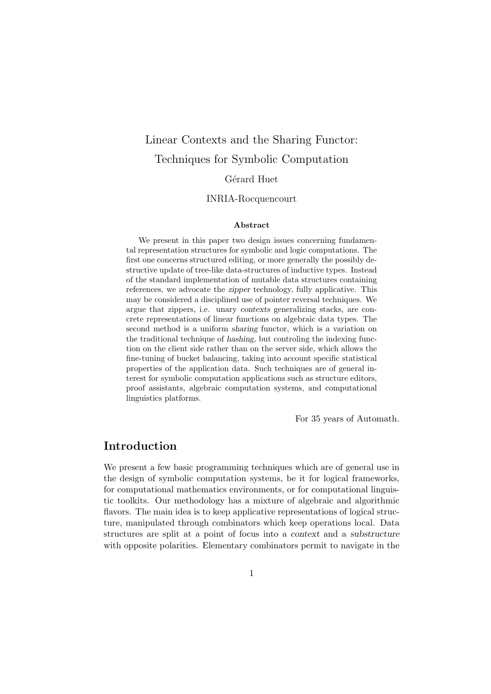# Linear Contexts and the Sharing Functor: Techniques for Symbolic Computation

# Gérard Huet

#### INRIA-Rocquencourt

#### Abstract

We present in this paper two design issues concerning fundamental representation structures for symbolic and logic computations. The first one concerns structured editing, or more generally the possibly destructive update of tree-like data-structures of inductive types. Instead of the standard implementation of mutable data structures containing references, we advocate the zipper technology, fully applicative. This may be considered a disciplined use of pointer reversal techniques. We argue that zippers, i.e. unary contexts generalizing stacks, are concrete representations of linear functions on algebraic data types. The second method is a uniform sharing functor, which is a variation on the traditional technique of hashing, but controling the indexing function on the client side rather than on the server side, which allows the fine-tuning of bucket balancing, taking into account specific statistical properties of the application data. Such techniques are of general interest for symbolic computation applications such as structure editors, proof assistants, algebraic computation systems, and computational linguistics platforms.

For 35 years of Automath.

# Introduction

We present a few basic programming techniques which are of general use in the design of symbolic computation systems, be it for logical frameworks, for computational mathematics environments, or for computational linguistic toolkits. Our methodology has a mixture of algebraic and algorithmic flavors. The main idea is to keep applicative representations of logical structure, manipulated through combinators which keep operations local. Data structures are split at a point of focus into a context and a substructure with opposite polarities. Elementary combinators permit to navigate in the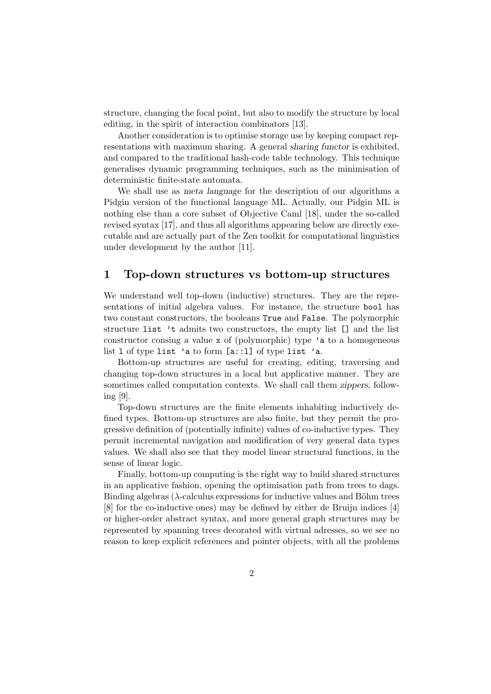structure, changing the focal point, but also to modify the structure by local editing, in the spirit of interaction combinators [13].

Another consideration is to optimise storage use by keeping compact representations with maximum sharing. A general sharing functor is exhibited, and compared to the traditional hash-code table technology. This technique generalises dynamic programming techniques, such as the minimisation of deterministic finite-state automata.

We shall use as meta language for the description of our algorithms a Pidgin version of the functional language ML. Actually, our Pidgin ML is nothing else than a core subset of Objective Caml [18], under the so-called revised syntax [17], and thus all algorithms appearing below are directly executable and are actually part of the Zen toolkit for computational linguistics under development by the author [11].

## 1 Top-down structures vs bottom-up structures

We understand well top-down (inductive) structures. They are the representations of initial algebra values. For instance, the structure bool has two constant constructors, the booleans True and False. The polymorphic structure list 't admits two constructors, the empty list [] and the list constructor consing a value x of (polymorphic) type 'a to a homogeneous list 1 of type list 'a to form  $[a::1]$  of type list 'a.

Bottom-up structures are useful for creating, editing, traversing and changing top-down structures in a local but applicative manner. They are sometimes called computation contexts. We shall call them zippers, following [9].

Top-down structures are the finite elements inhabiting inductively defined types. Bottom-up structures are also finite, but they permit the progressive definition of (potentially infinite) values of co-inductive types. They permit incremental navigation and modification of very general data types values. We shall also see that they model linear structural functions, in the sense of linear logic.

Finally, bottom-up computing is the right way to build shared structures in an applicative fashion, opening the optimisation path from trees to dags. Binding algebras ( $\lambda$ -calculus expressions for inductive values and Böhm trees [8] for the co-inductive ones) may be defined by either de Bruijn indices [4] or higher-order abstract syntax, and more general graph structures may be represented by spanning trees decorated with virtual adresses, so we see no reason to keep explicit references and pointer objects, with all the problems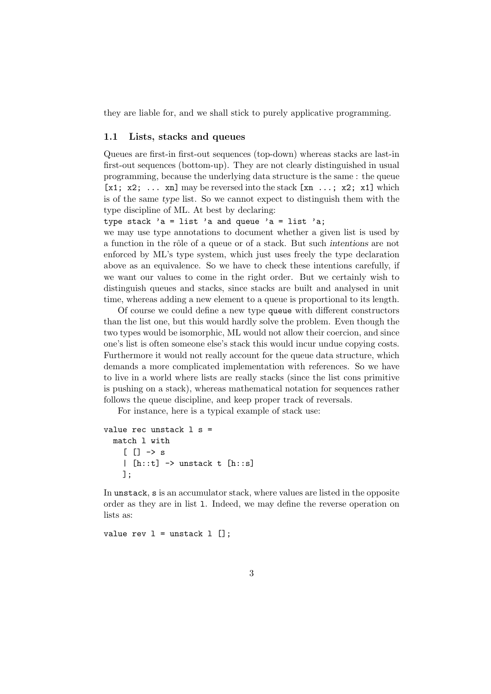they are liable for, and we shall stick to purely applicative programming.

#### 1.1 Lists, stacks and queues

Queues are first-in first-out sequences (top-down) whereas stacks are last-in first-out sequences (bottom-up). They are not clearly distinguished in usual programming, because the underlying data structure is the same : the queue [x1; x2; ... xn] may be reversed into the stack  $[xn \dots; x2; x1]$  which is of the same type list. So we cannot expect to distinguish them with the type discipline of ML. At best by declaring:

type stack 'a = list 'a and queue 'a = list 'a;

we may use type annotations to document whether a given list is used by a function in the rôle of a queue or of a stack. But such intentions are not enforced by ML's type system, which just uses freely the type declaration above as an equivalence. So we have to check these intentions carefully, if we want our values to come in the right order. But we certainly wish to distinguish queues and stacks, since stacks are built and analysed in unit time, whereas adding a new element to a queue is proportional to its length.

Of course we could define a new type queue with different constructors than the list one, but this would hardly solve the problem. Even though the two types would be isomorphic, ML would not allow their coercion, and since one's list is often someone else's stack this would incur undue copying costs. Furthermore it would not really account for the queue data structure, which demands a more complicated implementation with references. So we have to live in a world where lists are really stacks (since the list cons primitive is pushing on a stack), whereas mathematical notation for sequences rather follows the queue discipline, and keep proper track of reversals.

For instance, here is a typical example of stack use:

```
value rec unstack l s =
   match l with
      [ ] \rightarrow s
      \left[\text{h::t}\right] \rightarrow \text{unstack t [h::s]}];
```
In unstack, s is an accumulator stack, where values are listed in the opposite order as they are in list l. Indeed, we may define the reverse operation on lists as:

value rev  $l =$  unstack  $l$   $(l)$ ;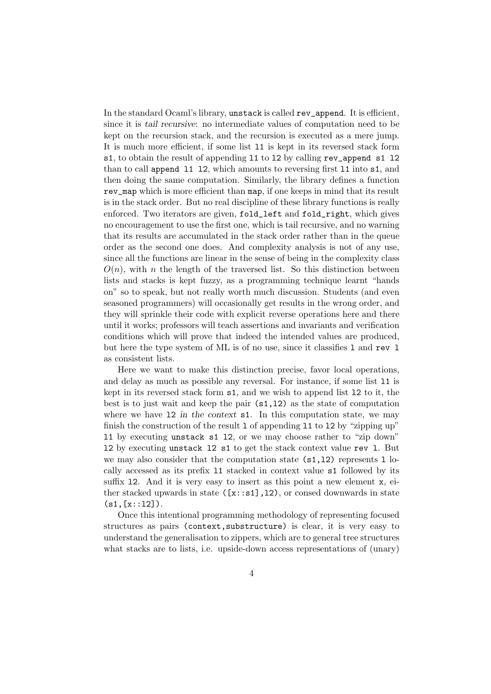In the standard Ocaml's library, unstack is called rev\_append. It is efficient, since it is tail recursive: no intermediate values of computation need to be kept on the recursion stack, and the recursion is executed as a mere jump. It is much more efficient, if some list l1 is kept in its reversed stack form s1, to obtain the result of appending l1 to l2 by calling rev\_append s1 l2 than to call append l1 l2, which amounts to reversing first l1 into s1, and then doing the same computation. Similarly, the library defines a function rev\_map which is more efficient than map, if one keeps in mind that its result is in the stack order. But no real discipline of these library functions is really enforced. Two iterators are given, fold\_left and fold\_right, which gives no encouragement to use the first one, which is tail recursive, and no warning that its results are accumulated in the stack order rather than in the queue order as the second one does. And complexity analysis is not of any use, since all the functions are linear in the sense of being in the complexity class  $O(n)$ , with n the length of the traversed list. So this distinction between lists and stacks is kept fuzzy, as a programming technique learnt "hands on" so to speak, but not really worth much discussion. Students (and even seasoned programmers) will occasionally get results in the wrong order, and they will sprinkle their code with explicit reverse operations here and there until it works; professors will teach assertions and invariants and verification conditions which will prove that indeed the intended values are produced, but here the type system of ML is of no use, since it classifies l and rev l as consistent lists.

Here we want to make this distinction precise, favor local operations, and delay as much as possible any reversal. For instance, if some list l1 is kept in its reversed stack form s1, and we wish to append list l2 to it, the best is to just wait and keep the pair (s1,l2) as the state of computation where we have 12 in the context s1. In this computation state, we may finish the construction of the result l of appending l1 to l2 by "zipping up" l1 by executing unstack s1 l2, or we may choose rather to "zip down" l2 by executing unstack l2 s1 to get the stack context value rev l. But we may also consider that the computation state  $(s1,12)$  represents 1 locally accessed as its prefix l1 stacked in context value s1 followed by its suffix l2. And it is very easy to insert as this point a new element x, either stacked upwards in state  $([x::s1],12)$ , or consed downwards in state  $(s1,[x::12])$ .

Once this intentional programming methodology of representing focused structures as pairs (context,substructure) is clear, it is very easy to understand the generalisation to zippers, which are to general tree structures what stacks are to lists, i.e. upside-down access representations of (unary)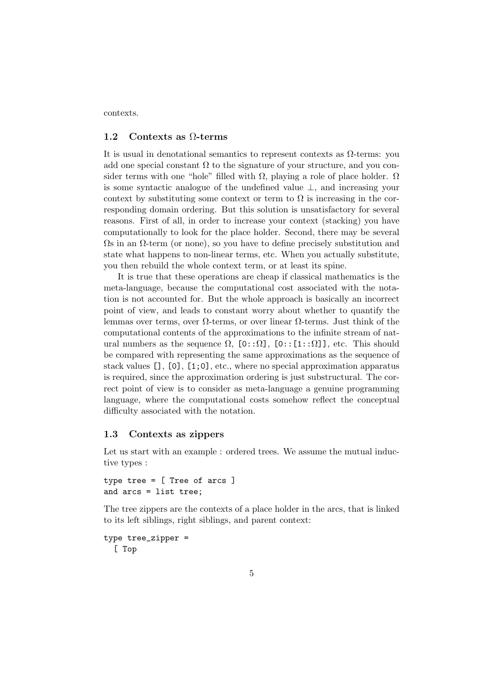contexts.

#### 1.2 Contexts as Ω-terms

It is usual in denotational semantics to represent contexts as  $\Omega$ -terms: you add one special constant  $\Omega$  to the signature of your structure, and you consider terms with one "hole" filled with  $\Omega$ , playing a role of place holder.  $\Omega$ is some syntactic analogue of the undefined value ⊥, and increasing your context by substituting some context or term to  $\Omega$  is increasing in the corresponding domain ordering. But this solution is unsatisfactory for several reasons. First of all, in order to increase your context (stacking) you have computationally to look for the place holder. Second, there may be several  $\Omega$ s in an  $\Omega$ -term (or none), so you have to define precisely substitution and state what happens to non-linear terms, etc. When you actually substitute, you then rebuild the whole context term, or at least its spine.

It is true that these operations are cheap if classical mathematics is the meta-language, because the computational cost associated with the notation is not accounted for. But the whole approach is basically an incorrect point of view, and leads to constant worry about whether to quantify the lemmas over terms, over Ω-terms, or over linear Ω-terms. Just think of the computational contents of the approximations to the infinite stream of natural numbers as the sequence  $\Omega$ , [0:: $\Omega$ ], [0::[1:: $\Omega$ ]], etc. This should be compared with representing the same approximations as the sequence of stack values [], [0], [1;0], etc., where no special approximation apparatus is required, since the approximation ordering is just substructural. The correct point of view is to consider as meta-language a genuine programming language, where the computational costs somehow reflect the conceptual difficulty associated with the notation.

#### 1.3 Contexts as zippers

Let us start with an example : ordered trees. We assume the mutual inductive types :

```
type tree = [ Tree of arcs ]
and arcs = list tree;
```
The tree zippers are the contexts of a place holder in the arcs, that is linked to its left siblings, right siblings, and parent context:

type tree\_zipper = [ Top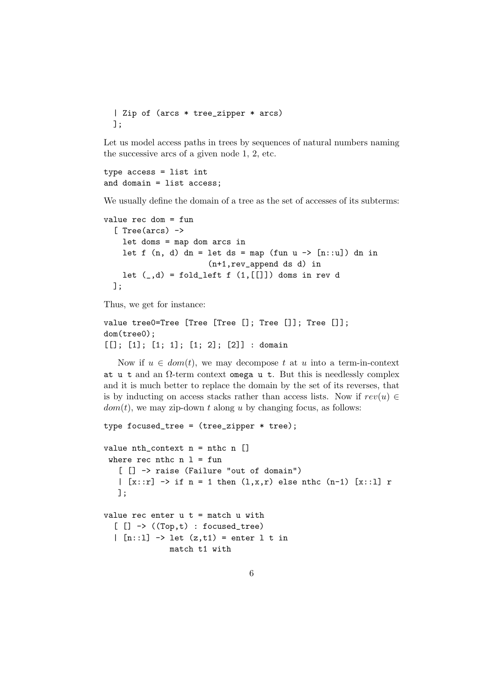```
| Zip of (arcs * tree_zipper * arcs)
];
```
Let us model access paths in trees by sequences of natural numbers naming the successive arcs of a given node 1, 2, etc.

```
type access = list int
and domain = list access;
```
We usually define the domain of a tree as the set of accesses of its subterms:

```
value rec dom = fun
  [ Tree(arcs) \rightarrowlet doms = map dom arcs in
    let f (n, d) dn = let ds = map (fun u -> [n::u]) dn in
                       (n+1,rev_append ds d) in
    let (,d) = fold_left f (1, [[]]) doms in rev d
  ];
```
Thus, we get for instance:

```
value tree0=Tree [Tree [Tree []; Tree []]; Tree []];
dom(tree0);
[[]; [1]; [1; 1]; [1; 2]; [2]] : domain
```
Now if  $u \in dom(t)$ , we may decompose t at u into a term-in-context at u t and an  $\Omega$ -term context omega u t. But this is needlessly complex and it is much better to replace the domain by the set of its reverses, that is by inducting on access stacks rather than access lists. Now if  $rev(u) \in$  $dom(t)$ , we may zip-down t along u by changing focus, as follows:

```
type focused_tree = (tree_zipper * tree);
value nth_context n =nthc n []
 where rec nthc n l = fun
   [ [] -> raise (Failure "out of domain")
   | [x::r] \rightarrow if n = 1 then (1,x,r) else nthc (n-1) [x::l] r
   ];
value rec enter u t = match u with
  [[] \rightarrow ((Top, t) : focused\_tree)| [n::1] -> let (z,t1) = enter 1 t in
              match t1 with
```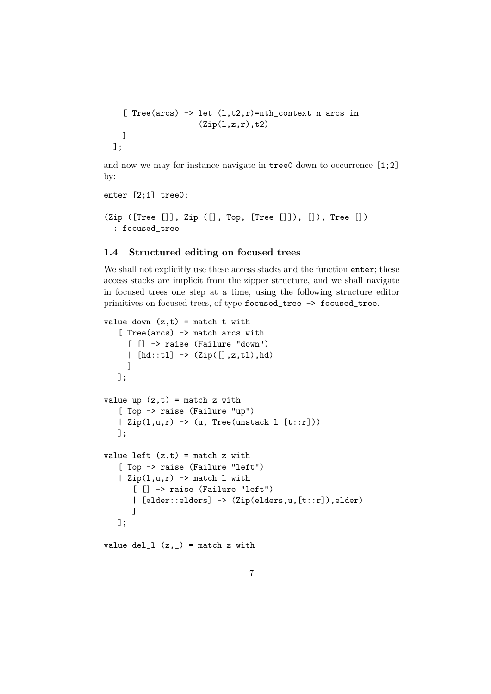```
[ Tree(arcs) \rightarrow let (1,t2,r)=nth_context n arcs in
                    (Zip(1,z,r),t2)]
];
```
and now we may for instance navigate in tree0 down to occurrence [1;2] by:

```
enter [2;1] tree0;
(Zip ([Tree []], Zip ([], Top, [Tree []]), []), Tree [])
  : focused_tree
```
## 1.4 Structured editing on focused trees

We shall not explicitly use these access stacks and the function enter; these access stacks are implicit from the zipper structure, and we shall navigate in focused trees one step at a time, using the following structure editor primitives on focused trees, of type focused\_tree -> focused\_tree.

```
value down (z,t) = match t with
   [ Tree(arcs) \rightarrow match arcs with
     [ [] -> raise (Failure "down")
     | [hd::tl] -> (Zip([],z,tl),hd)
     ]
   ];
value up (z,t) = match z with
   [ Top -> raise (Failure "up")
   | Zip(1,u,r) \rightarrow (u, Tree(unstack 1 [t::r]))
   ];
value left (z,t) = match z with
   [ Top -> raise (Failure "left")
   | Zip(1,u,r) \rightarrow match 1 with
      [ [] -> raise (Failure "left")
      | [elder::elders] -> (Zip(elders,u,[t::r]),elder)
      ]
   ];
```
value del\_1  $(z, )$  = match z with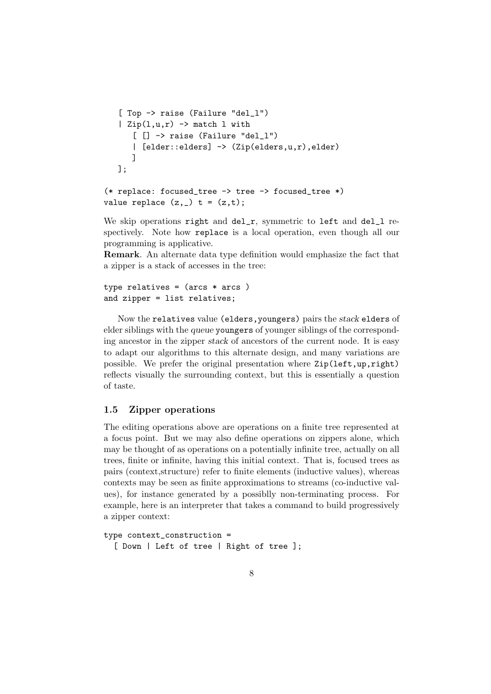```
[ Top -> raise (Failure "del_l")
| Zip(1,u,r) \rightarrow match 1 with
   [ [] -> raise (Failure "del_l")
   | [elder::elders] -> (Zip(elders,u,r),elder)
   ]
];
```

```
(* replace: focused_tree -> tree -> focused_tree *)
value replace (z, ) t = (z,t);
```
We skip operations right and del\_r, symmetric to left and del\_l respectively. Note how replace is a local operation, even though all our programming is applicative.

Remark. An alternate data type definition would emphasize the fact that a zipper is a stack of accesses in the tree:

type relatives = (arcs \* arcs ) and zipper = list relatives;

Now the relatives value (elders,youngers) pairs the stack elders of elder siblings with the queue youngers of younger siblings of the corresponding ancestor in the zipper stack of ancestors of the current node. It is easy to adapt our algorithms to this alternate design, and many variations are possible. We prefer the original presentation where Zip(left,up,right) reflects visually the surrounding context, but this is essentially a question of taste.

## 1.5 Zipper operations

The editing operations above are operations on a finite tree represented at a focus point. But we may also define operations on zippers alone, which may be thought of as operations on a potentially infinite tree, actually on all trees, finite or infinite, having this initial context. That is, focused trees as pairs (context,structure) refer to finite elements (inductive values), whereas contexts may be seen as finite approximations to streams (co-inductive values), for instance generated by a possiblly non-terminating process. For example, here is an interpreter that takes a command to build progressively a zipper context:

```
type context_construction =
  [ Down | Left of tree | Right of tree ];
```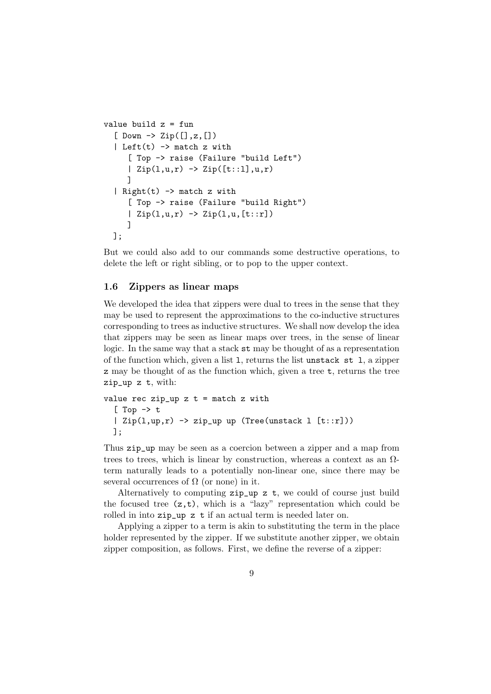```
value build z = fun[ Down \rightarrow Zip([],z,[])
  | Left(t) \rightarrow match z with
      [ Top -> raise (Failure "build Left")
      | \text{Zip}(1, u, r) \rightarrow \text{Zip}([t::1], u, r)]
  | Right(t) -> match z with
      [ Top -> raise (Failure "build Right")
      | \text{Zip}(1, u, r) \rightarrow \text{Zip}(1, u, [t::r])]
  ];
```
But we could also add to our commands some destructive operations, to delete the left or right sibling, or to pop to the upper context.

#### 1.6 Zippers as linear maps

We developed the idea that zippers were dual to trees in the sense that they may be used to represent the approximations to the co-inductive structures corresponding to trees as inductive structures. We shall now develop the idea that zippers may be seen as linear maps over trees, in the sense of linear logic. In the same way that a stack st may be thought of as a representation of the function which, given a list l, returns the list unstack st l, a zipper z may be thought of as the function which, given a tree t, returns the tree zip\_up z t, with:

```
value rec zip_up z t = match z with
   [ Top \rightarrow t
  | Zip(1, \text{up}, r) \rightarrow \text{zip\_up up} (Tree(unstack 1 [t::r]))
  ];
```
Thus zip\_up may be seen as a coercion between a zipper and a map from trees to trees, which is linear by construction, whereas a context as an  $\Omega$ term naturally leads to a potentially non-linear one, since there may be several occurrences of  $\Omega$  (or none) in it.

Alternatively to computing  $zip\_up z$  t, we could of course just build the focused tree  $(z,t)$ , which is a "lazy" representation which could be rolled in into zip\_up z t if an actual term is needed later on.

Applying a zipper to a term is akin to substituting the term in the place holder represented by the zipper. If we substitute another zipper, we obtain zipper composition, as follows. First, we define the reverse of a zipper: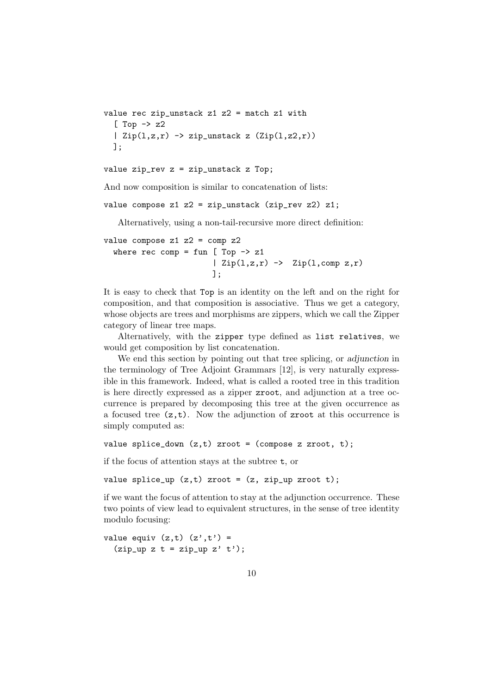```
value rec zip_unstack z1 z2 = match z1 with
   [ Top \rightarrow z2
  | \text{Zip}(1, z, r) \rightarrow \text{zip\_unstack z (Zip(1, z2, r))})];
```

```
value zip_rev z = zip_unstack z Top;
```
And now composition is similar to concatenation of lists:

value compose z1 z2 = zip\_unstack  $(zip_{rev} z2)$  z1;

Alternatively, using a non-tail-recursive more direct definition:

```
value compose z1 z2 = comp z2where rec comp = fun [ Top \rightarrow z1
                                 | \text{Zip}(1, z, r) \rightarrow \text{Zip}(1, \text{comp } z, r)];
```
It is easy to check that Top is an identity on the left and on the right for composition, and that composition is associative. Thus we get a category, whose objects are trees and morphisms are zippers, which we call the Zipper category of linear tree maps.

Alternatively, with the zipper type defined as list relatives, we would get composition by list concatenation.

We end this section by pointing out that tree splicing, or adjunction in the terminology of Tree Adjoint Grammars [12], is very naturally expressible in this framework. Indeed, what is called a rooted tree in this tradition is here directly expressed as a zipper zroot, and adjunction at a tree occurrence is prepared by decomposing this tree at the given occurrence as a focused tree  $(z,t)$ . Now the adjunction of zroot at this occurrence is simply computed as:

value splice\_down  $(z,t)$  zroot = (compose z zroot, t);

if the focus of attention stays at the subtree t, or

value splice\_up  $(z,t)$  zroot =  $(z, zip$ \_up zroot t);

if we want the focus of attention to stay at the adjunction occurrence. These two points of view lead to equivalent structures, in the sense of tree identity modulo focusing:

value equiv  $(z,t)$   $(z',t')$  =  $(zip_up z t = zip_up z' t');$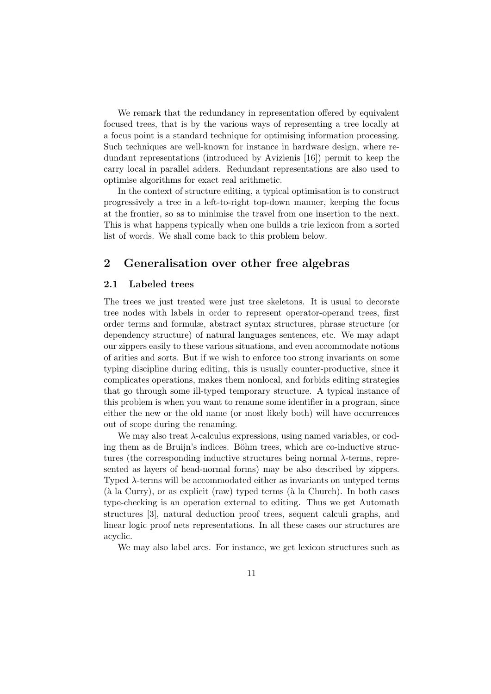We remark that the redundancy in representation offered by equivalent focused trees, that is by the various ways of representing a tree locally at a focus point is a standard technique for optimising information processing. Such techniques are well-known for instance in hardware design, where redundant representations (introduced by Avizienis [16]) permit to keep the carry local in parallel adders. Redundant representations are also used to optimise algorithms for exact real arithmetic.

In the context of structure editing, a typical optimisation is to construct progressively a tree in a left-to-right top-down manner, keeping the focus at the frontier, so as to minimise the travel from one insertion to the next. This is what happens typically when one builds a trie lexicon from a sorted list of words. We shall come back to this problem below.

# 2 Generalisation over other free algebras

#### 2.1 Labeled trees

The trees we just treated were just tree skeletons. It is usual to decorate tree nodes with labels in order to represent operator-operand trees, first order terms and formulæ, abstract syntax structures, phrase structure (or dependency structure) of natural languages sentences, etc. We may adapt our zippers easily to these various situations, and even accommodate notions of arities and sorts. But if we wish to enforce too strong invariants on some typing discipline during editing, this is usually counter-productive, since it complicates operations, makes them nonlocal, and forbids editing strategies that go through some ill-typed temporary structure. A typical instance of this problem is when you want to rename some identifier in a program, since either the new or the old name (or most likely both) will have occurrences out of scope during the renaming.

We may also treat  $\lambda$ -calculus expressions, using named variables, or coding them as de Bruijn's indices. Böhm trees, which are co-inductive structures (the corresponding inductive structures being normal λ-terms, represented as layers of head-normal forms) may be also described by zippers. Typed  $\lambda$ -terms will be accommodated either as invariants on untyped terms  $(\hat{a} \text{ la Curry})$ , or as explicit (raw) typed terms  $(\hat{a} \text{ la Church})$ . In both cases type-checking is an operation external to editing. Thus we get Automath structures [3], natural deduction proof trees, sequent calculi graphs, and linear logic proof nets representations. In all these cases our structures are acyclic.

We may also label arcs. For instance, we get lexicon structures such as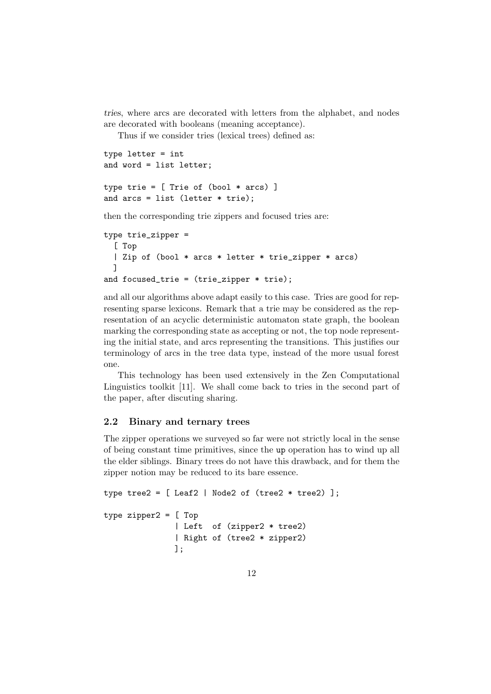tries, where arcs are decorated with letters from the alphabet, and nodes are decorated with booleans (meaning acceptance).

Thus if we consider tries (lexical trees) defined as:

```
type letter = int
and word = list letter;
```

```
type trie = [ Trie of (bool * arcs) ]
and arcs = list (letter * trie);
```
then the corresponding trie zippers and focused tries are:

```
type trie_zipper =
  [ Top
  | Zip of (bool * arcs * letter * trie_zipper * arcs)
  ]
and focused_trie = (trie_zipper * trie);
```
and all our algorithms above adapt easily to this case. Tries are good for representing sparse lexicons. Remark that a trie may be considered as the representation of an acyclic deterministic automaton state graph, the boolean marking the corresponding state as accepting or not, the top node representing the initial state, and arcs representing the transitions. This justifies our terminology of arcs in the tree data type, instead of the more usual forest one.

This technology has been used extensively in the Zen Computational Linguistics toolkit [11]. We shall come back to tries in the second part of the paper, after discuting sharing.

#### 2.2 Binary and ternary trees

The zipper operations we surveyed so far were not strictly local in the sense of being constant time primitives, since the up operation has to wind up all the elder siblings. Binary trees do not have this drawback, and for them the zipper notion may be reduced to its bare essence.

```
type tree2 = [ Leaf2 | Node2 of (tree2 * tree2) ];
type zipper2 = [ Top
               | Left of (zipper2 * tree2)
               | Right of (tree2 * zipper2)
               ];
```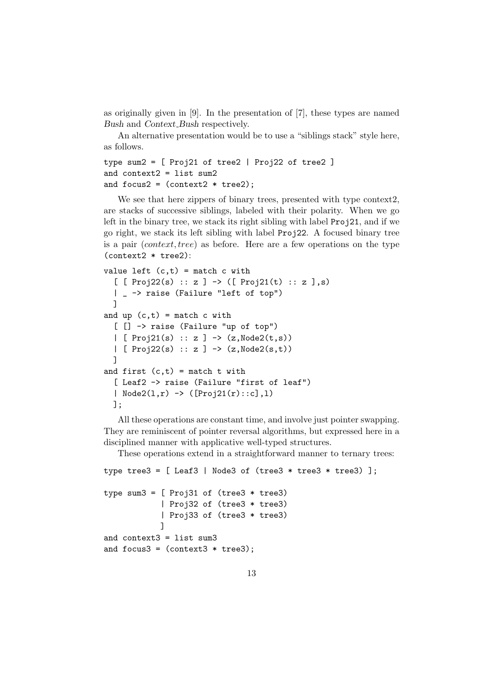as originally given in [9]. In the presentation of [7], these types are named Bush and Context\_Bush respectively.

An alternative presentation would be to use a "siblings stack" style here, as follows.

```
type sum2 = [ Proj21 of tree2 | Proj22 of tree2 ]
and context2 = list sum2
and focus2 = (context2 * tree2);
```
We see that here zippers of binary trees, presented with type context2, are stacks of successive siblings, labeled with their polarity. When we go left in the binary tree, we stack its right sibling with label Proj21, and if we go right, we stack its left sibling with label Proj22. A focused binary tree is a pair (context, tree) as before. Here are a few operations on the type (context2 \* tree2):

```
value left (c,t) = match c with
  [ [ Proj22(s) :: z ] -> ([ Proj21(t) :: z ],s)
  | _ -> raise (Failure "left of top")
  ]
and up (c, t) = match c with
  [ [] -> raise (Failure "up of top")
  | [ Proj21(s) :: z ] -> (z,Node2(t,s))
  | [ Proj22(s) :: z ] -> (z, \text{Node2}(s, t))]
and first (c,t) = match t with
  [ Leaf2 -> raise (Failure "first of leaf")
  | Node2(l,r) -> ([Proj21(r)::c],l)
  ];
```
All these operations are constant time, and involve just pointer swapping. They are reminiscent of pointer reversal algorithms, but expressed here in a disciplined manner with applicative well-typed structures.

These operations extend in a straightforward manner to ternary trees:

```
type tree3 = [ Leaf3 | Node3 of (tree3 * tree3 * tree3) ];
type sum3 = [ Proj31 of (tree3 * tree3)
            | Proj32 of (tree3 * tree3)
            | Proj33 of (tree3 * tree3)
            ]
and context3 = list sum3
and focus3 = (context3 * tree3);
```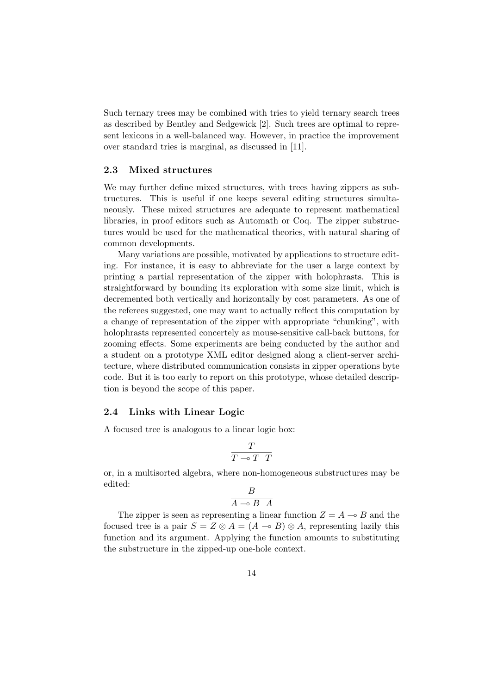Such ternary trees may be combined with tries to yield ternary search trees as described by Bentley and Sedgewick [2]. Such trees are optimal to represent lexicons in a well-balanced way. However, in practice the improvement over standard tries is marginal, as discussed in [11].

#### 2.3 Mixed structures

We may further define mixed structures, with trees having zippers as subtructures. This is useful if one keeps several editing structures simultaneously. These mixed structures are adequate to represent mathematical libraries, in proof editors such as Automath or Coq. The zipper substructures would be used for the mathematical theories, with natural sharing of common developments.

Many variations are possible, motivated by applications to structure editing. For instance, it is easy to abbreviate for the user a large context by printing a partial representation of the zipper with holophrasts. This is straightforward by bounding its exploration with some size limit, which is decremented both vertically and horizontally by cost parameters. As one of the referees suggested, one may want to actually reflect this computation by a change of representation of the zipper with appropriate "chunking", with holophrasts represented concertely as mouse-sensitive call-back buttons, for zooming effects. Some experiments are being conducted by the author and a student on a prototype XML editor designed along a client-server architecture, where distributed communication consists in zipper operations byte code. But it is too early to report on this prototype, whose detailed description is beyond the scope of this paper.

#### 2.4 Links with Linear Logic

A focused tree is analogous to a linear logic box:

$$
\frac{T}{T \multimap T \quad T}
$$

or, in a multisorted algebra, where non-homogeneous substructures may be edited:

$$
\frac{B}{A \multimap B \ A}
$$

The zipper is seen as representing a linear function  $Z = A \rightarrow B$  and the focused tree is a pair  $S = Z \otimes A = (A \multimap B) \otimes A$ , representing lazily this function and its argument. Applying the function amounts to substituting the substructure in the zipped-up one-hole context.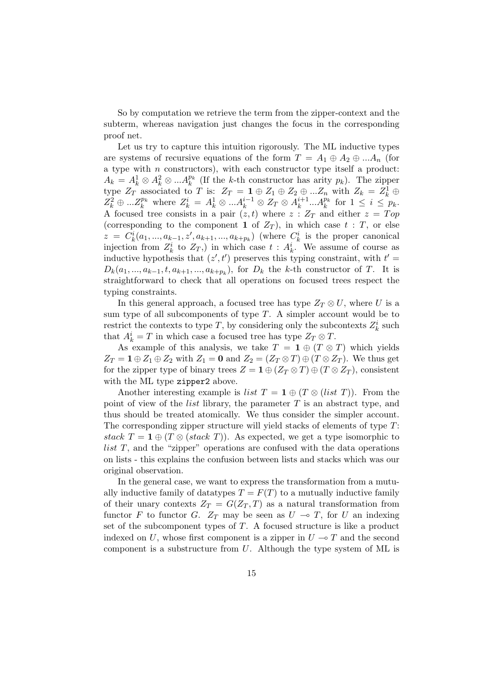So by computation we retrieve the term from the zipper-context and the subterm, whereas navigation just changes the focus in the corresponding proof net.

Let us try to capture this intuition rigorously. The ML inductive types are systems of recursive equations of the form  $T = A_1 \oplus A_2 \oplus ... A_n$  (for a type with  $n$  constructors), with each constructor type itself a product:  $A_k = A_k^1 \otimes A_k^2 \otimes ... A_k^{p_k}$  (If the k-th constructor has arity  $p_k$ ). The zipper type  $Z_T$  associated to T is:  $Z_T = 1 \oplus Z_1 \oplus Z_2 \oplus ... Z_n$  with  $Z_k = Z_k^1 \oplus Z_k^2$  $Z_k^2 \oplus ... Z_k^{p_k}$  where  $Z_k^i = A_k^1 \otimes ... A_k^{i-1} \otimes Z_T \otimes A_k^{i+1}$  $k^{i+1} \dots A_k^{p_k}$  for  $1 \leq i \leq p_k$ . A focused tree consists in a pair  $(z, t)$  where  $z : Z_T$  and either  $z = Top$ (corresponding to the component 1 of  $Z_T$ ), in which case  $t : T$ , or else  $z = C_k^i(a_1, ..., a_{k-1}, z', a_{k+1}, ..., a_{k+p_k})$  (where  $C_k^i$  is the proper canonical injection from  $Z_k^i$  to  $Z_T$ ,) in which case  $t : A_k^i$ . We assume of course as inductive hypothesis that  $(z', t')$  preserves this typing constraint, with  $t' =$  $D_k(a_1, \ldots, a_{k-1}, t, a_{k+1}, \ldots, a_{k+p_k}),$  for  $D_k$  the k-th constructor of T. It is straightforward to check that all operations on focused trees respect the typing constraints.

In this general approach, a focused tree has type  $Z_T \otimes U$ , where U is a sum type of all subcomponents of type  $T$ . A simpler account would be to restrict the contexts to type  $T$ , by considering only the subcontexts  $Z_k^i$  such that  $A_k^i = T$  in which case a focused tree has type  $Z_T \otimes T$ .

As example of this analysis, we take  $T = \mathbf{1} \oplus (T \otimes T)$  which yields  $Z_T = \mathbf{1} \oplus Z_1 \oplus Z_2$  with  $Z_1 = \mathbf{0}$  and  $Z_2 = (Z_T \otimes T) \oplus (T \otimes Z_T)$ . We thus get for the zipper type of binary trees  $Z = \mathbf{1} \oplus (Z_T \otimes T) \oplus (T \otimes Z_T)$ , consistent with the ML type zipper2 above.

Another interesting example is *list*  $T = \mathbf{1} \oplus (T \otimes (list T))$ . From the point of view of the *list* library, the parameter  $T$  is an abstract type, and thus should be treated atomically. We thus consider the simpler account. The corresponding zipper structure will yield stacks of elements of type T: stack  $T = \mathbf{1} \oplus (T \otimes (stack T)).$  As expected, we get a type isomorphic to list T, and the "zipper" operations are confused with the data operations on lists - this explains the confusion between lists and stacks which was our original observation.

In the general case, we want to express the transformation from a mutually inductive family of datatypes  $T = F(T)$  to a mutually inductive family of their unary contexts  $Z_T = G(Z_T, T)$  as a natural transformation from functor F to functor G.  $Z_T$  may be seen as  $U \multimap T$ , for U an indexing set of the subcomponent types of T. A focused structure is like a product indexed on U, whose first component is a zipper in  $U \rightarrow T$  and the second component is a substructure from  $U$ . Although the type system of ML is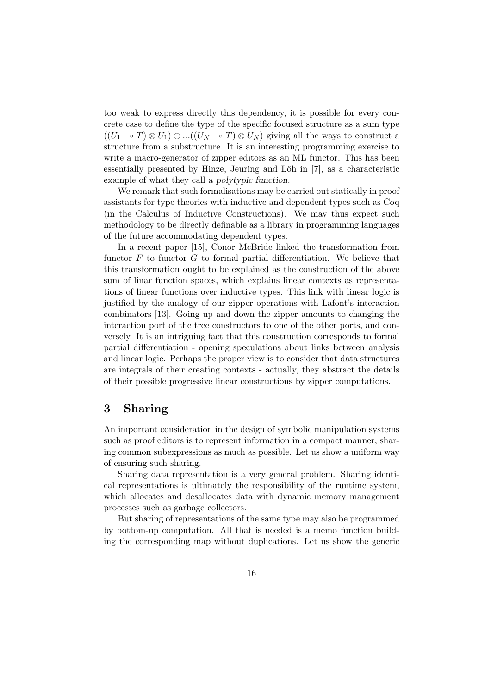too weak to express directly this dependency, it is possible for every concrete case to define the type of the specific focused structure as a sum type  $((U_1 \multimap T) \otimes U_1) \oplus ... ((U_N \multimap T) \otimes U_N)$  giving all the ways to construct a structure from a substructure. It is an interesting programming exercise to write a macro-generator of zipper editors as an ML functor. This has been essentially presented by Hinze, Jeuring and Löh in [7], as a characteristic example of what they call a polytypic function.

We remark that such formalisations may be carried out statically in proof assistants for type theories with inductive and dependent types such as Coq (in the Calculus of Inductive Constructions). We may thus expect such methodology to be directly definable as a library in programming languages of the future accommodating dependent types.

In a recent paper [15], Conor McBride linked the transformation from functor  $F$  to functor  $G$  to formal partial differentiation. We believe that this transformation ought to be explained as the construction of the above sum of linar function spaces, which explains linear contexts as representations of linear functions over inductive types. This link with linear logic is justified by the analogy of our zipper operations with Lafont's interaction combinators [13]. Going up and down the zipper amounts to changing the interaction port of the tree constructors to one of the other ports, and conversely. It is an intriguing fact that this construction corresponds to formal partial differentiation - opening speculations about links between analysis and linear logic. Perhaps the proper view is to consider that data structures are integrals of their creating contexts - actually, they abstract the details of their possible progressive linear constructions by zipper computations.

## 3 Sharing

An important consideration in the design of symbolic manipulation systems such as proof editors is to represent information in a compact manner, sharing common subexpressions as much as possible. Let us show a uniform way of ensuring such sharing.

Sharing data representation is a very general problem. Sharing identical representations is ultimately the responsibility of the runtime system, which allocates and desallocates data with dynamic memory management processes such as garbage collectors.

But sharing of representations of the same type may also be programmed by bottom-up computation. All that is needed is a memo function building the corresponding map without duplications. Let us show the generic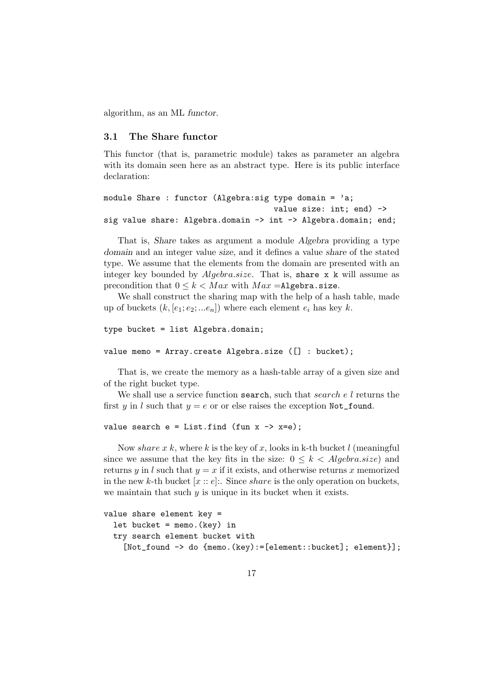algorithm, as an ML functor.

#### 3.1 The Share functor

This functor (that is, parametric module) takes as parameter an algebra with its domain seen here as an abstract type. Here is its public interface declaration:

```
module Share : functor (Algebra: sig type domain = a;
                                    value size: int; end) ->
sig value share: Algebra.domain -> int -> Algebra.domain; end;
```
That is, Share takes as argument a module Algebra providing a type domain and an integer value size, and it defines a value share of the stated type. We assume that the elements from the domain are presented with an integer key bounded by Algebra.size. That is, share x k will assume as precondition that  $0 \leq k < Max$  with  $Max =$ Algebra.size.

We shall construct the sharing map with the help of a hash table, made up of buckets  $(k, [e_1; e_2; ... e_n])$  where each element  $e_i$  has key k.

```
type bucket = list Algebra.domain;
```

```
value memo = Array.create Algebra.size ([] : bucket);
```
That is, we create the memory as a hash-table array of a given size and of the right bucket type.

We shall use a service function search, such that search  $e$  l returns the first y in l such that  $y = e$  or or else raises the exception Not\_found.

```
value search e = List.find (fun x -> x =e);
```
Now share x k, where k is the key of x, looks in k-th bucket l (meaningful since we assume that the key fits in the size:  $0 \le k \le Algebra.size$  and returns y in l such that  $y = x$  if it exists, and otherwise returns x memorized in the new k-th bucket  $[x::e]$ :. Since *share* is the only operation on buckets, we maintain that such  $y$  is unique in its bucket when it exists.

```
value share element key =
  let bucket = memo.(key) in
  try search element bucket with
    [Not_found -> do {memo.(key):=[element::bucket]; element}];
```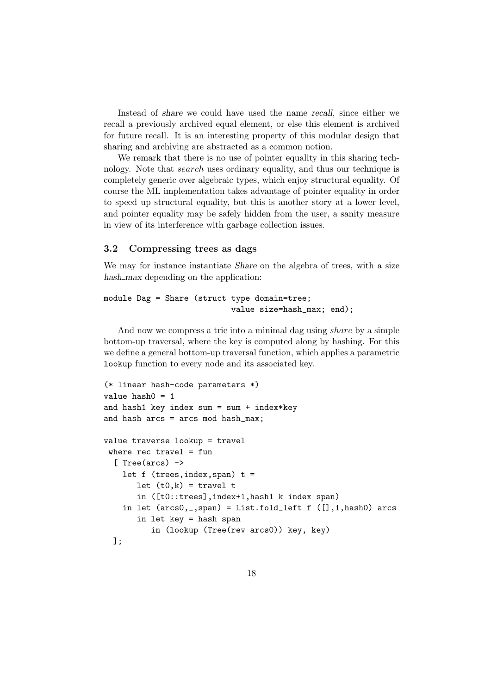Instead of share we could have used the name recall, since either we recall a previously archived equal element, or else this element is archived for future recall. It is an interesting property of this modular design that sharing and archiving are abstracted as a common notion.

We remark that there is no use of pointer equality in this sharing technology. Note that search uses ordinary equality, and thus our technique is completely generic over algebraic types, which enjoy structural equality. Of course the ML implementation takes advantage of pointer equality in order to speed up structural equality, but this is another story at a lower level, and pointer equality may be safely hidden from the user, a sanity measure in view of its interference with garbage collection issues.

### 3.2 Compressing trees as dags

We may for instance instantiate Share on the algebra of trees, with a size hash max depending on the application:

```
module Dag = Share (struct type domain=tree;
                           value size=hash_max; end);
```
And now we compress a trie into a minimal dag using *share* by a simple bottom-up traversal, where the key is computed along by hashing. For this we define a general bottom-up traversal function, which applies a parametric lookup function to every node and its associated key.

```
(* linear hash-code parameters *)
value hash0 = 1
and hash1 key index sum = sum + index*key
and hash arcs = arcs mod hash_max;
value traverse lookup = travel
 where rec travel = fun
  [ Tree(arcs) \rightarrowlet f (trees, index, span) t =let (t0,k) = travel t
       in ([t0::trees],index+1,hash1 k index span)
    in let (\arcs)_{,-}, span) = List.fold_left f ([], 1,hash0) arcs
       in let key = hash span
          in (lookup (Tree(rev arcs0)) key, key)
  ];
```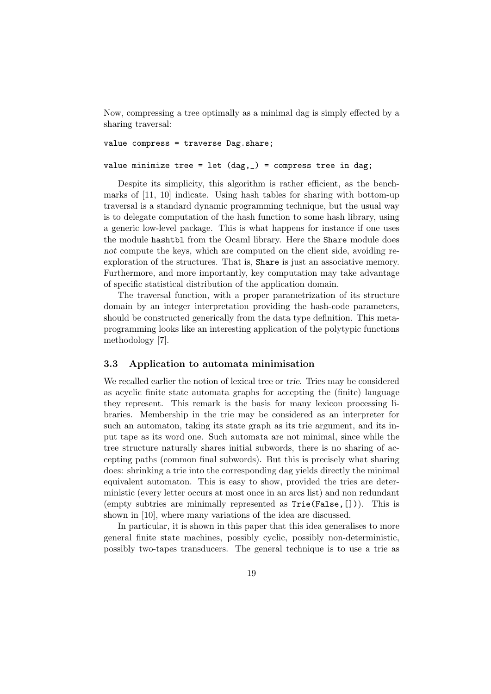Now, compressing a tree optimally as a minimal dag is simply effected by a sharing traversal:

value compress = traverse Dag.share;

#### value minimize tree = let  $(dag, ) =$  compress tree in dag;

Despite its simplicity, this algorithm is rather efficient, as the benchmarks of [11, 10] indicate. Using hash tables for sharing with bottom-up traversal is a standard dynamic programming technique, but the usual way is to delegate computation of the hash function to some hash library, using a generic low-level package. This is what happens for instance if one uses the module hashtbl from the Ocaml library. Here the Share module does not compute the keys, which are computed on the client side, avoiding reexploration of the structures. That is, Share is just an associative memory. Furthermore, and more importantly, key computation may take advantage of specific statistical distribution of the application domain.

The traversal function, with a proper parametrization of its structure domain by an integer interpretation providing the hash-code parameters, should be constructed generically from the data type definition. This metaprogramming looks like an interesting application of the polytypic functions methodology [7].

#### 3.3 Application to automata minimisation

We recalled earlier the notion of lexical tree or trie. Tries may be considered as acyclic finite state automata graphs for accepting the (finite) language they represent. This remark is the basis for many lexicon processing libraries. Membership in the trie may be considered as an interpreter for such an automaton, taking its state graph as its trie argument, and its input tape as its word one. Such automata are not minimal, since while the tree structure naturally shares initial subwords, there is no sharing of accepting paths (common final subwords). But this is precisely what sharing does: shrinking a trie into the corresponding dag yields directly the minimal equivalent automaton. This is easy to show, provided the tries are deterministic (every letter occurs at most once in an arcs list) and non redundant (empty subtries are minimally represented as Trie(False,[])). This is shown in [10], where many variations of the idea are discussed.

In particular, it is shown in this paper that this idea generalises to more general finite state machines, possibly cyclic, possibly non-deterministic, possibly two-tapes transducers. The general technique is to use a trie as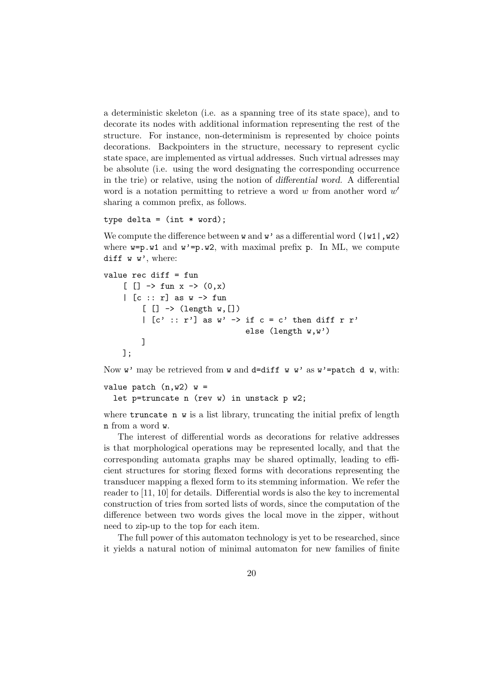a deterministic skeleton (i.e. as a spanning tree of its state space), and to decorate its nodes with additional information representing the rest of the structure. For instance, non-determinism is represented by choice points decorations. Backpointers in the structure, necessary to represent cyclic state space, are implemented as virtual addresses. Such virtual adresses may be absolute (i.e. using the word designating the corresponding occurrence in the trie) or relative, using the notion of differential word. A differential word is a notation permitting to retrieve a word  $w$  from another word  $w'$ sharing a common prefix, as follows.

type delta =  $(int * word);$ 

We compute the difference between  $\bf{w}$  and  $\bf{w'}$  as a differential word ( $|\bf{w1}|$ ,  $\bf{w2}$ ) where  $w=p.w1$  and  $w'=p.w2$ , with maximal prefix p. In ML, we compute diff  $w$   $w'$ , where:

```
value rec diff = fun
       [[] \rightarrow fun x \rightarrow (0,x)\left[\begin{array}{c} c : : r \end{array}\right] as w \rightarrow fun
              [[] \rightarrow (length w, [])\left[\begin{array}{c} c' :: r' \end{array}\right] as w' -> if c = c' then diff r r'
                                                    else (length w,w')
             ]
      ];
```
Now  $w'$  may be retrieved from  $w$  and d=diff  $w$   $w'$  as  $w'$ =patch d  $w$ , with:

```
value patch (n,w2) w =
  let p=truncate n (rev w) in unstack p w2;
```
where truncate n w is a list library, truncating the initial prefix of length n from a word w.

The interest of differential words as decorations for relative addresses is that morphological operations may be represented locally, and that the corresponding automata graphs may be shared optimally, leading to efficient structures for storing flexed forms with decorations representing the transducer mapping a flexed form to its stemming information. We refer the reader to [11, 10] for details. Differential words is also the key to incremental construction of tries from sorted lists of words, since the computation of the difference between two words gives the local move in the zipper, without need to zip-up to the top for each item.

The full power of this automaton technology is yet to be researched, since it yields a natural notion of minimal automaton for new families of finite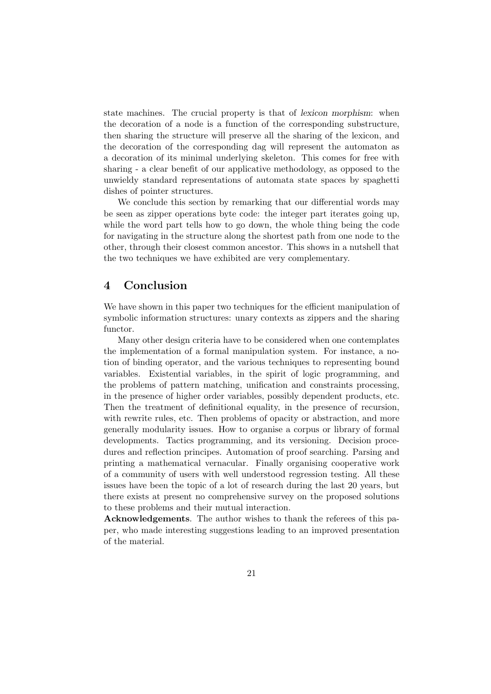state machines. The crucial property is that of lexicon morphism: when the decoration of a node is a function of the corresponding substructure, then sharing the structure will preserve all the sharing of the lexicon, and the decoration of the corresponding dag will represent the automaton as a decoration of its minimal underlying skeleton. This comes for free with sharing - a clear benefit of our applicative methodology, as opposed to the unwieldy standard representations of automata state spaces by spaghetti dishes of pointer structures.

We conclude this section by remarking that our differential words may be seen as zipper operations byte code: the integer part iterates going up, while the word part tells how to go down, the whole thing being the code for navigating in the structure along the shortest path from one node to the other, through their closest common ancestor. This shows in a nutshell that the two techniques we have exhibited are very complementary.

# 4 Conclusion

We have shown in this paper two techniques for the efficient manipulation of symbolic information structures: unary contexts as zippers and the sharing functor.

Many other design criteria have to be considered when one contemplates the implementation of a formal manipulation system. For instance, a notion of binding operator, and the various techniques to representing bound variables. Existential variables, in the spirit of logic programming, and the problems of pattern matching, unification and constraints processing, in the presence of higher order variables, possibly dependent products, etc. Then the treatment of definitional equality, in the presence of recursion, with rewrite rules, etc. Then problems of opacity or abstraction, and more generally modularity issues. How to organise a corpus or library of formal developments. Tactics programming, and its versioning. Decision procedures and reflection principes. Automation of proof searching. Parsing and printing a mathematical vernacular. Finally organising cooperative work of a community of users with well understood regression testing. All these issues have been the topic of a lot of research during the last 20 years, but there exists at present no comprehensive survey on the proposed solutions to these problems and their mutual interaction.

Acknowledgements. The author wishes to thank the referees of this paper, who made interesting suggestions leading to an improved presentation of the material.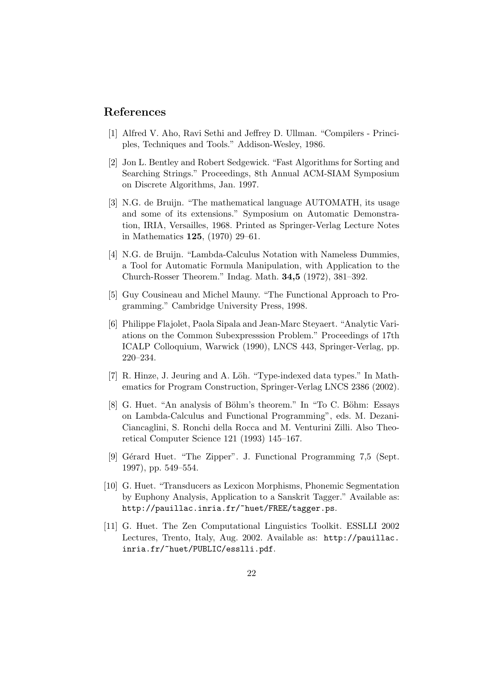## References

- [1] Alfred V. Aho, Ravi Sethi and Jeffrey D. Ullman. "Compilers Principles, Techniques and Tools." Addison-Wesley, 1986.
- [2] Jon L. Bentley and Robert Sedgewick. "Fast Algorithms for Sorting and Searching Strings." Proceedings, 8th Annual ACM-SIAM Symposium on Discrete Algorithms, Jan. 1997.
- [3] N.G. de Bruijn. "The mathematical language AUTOMATH, its usage and some of its extensions." Symposium on Automatic Demonstration, IRIA, Versailles, 1968. Printed as Springer-Verlag Lecture Notes in Mathematics 125, (1970) 29–61.
- [4] N.G. de Bruijn. "Lambda-Calculus Notation with Nameless Dummies, a Tool for Automatic Formula Manipulation, with Application to the Church-Rosser Theorem." Indag. Math. 34,5 (1972), 381–392.
- [5] Guy Cousineau and Michel Mauny. "The Functional Approach to Programming." Cambridge University Press, 1998.
- [6] Philippe Flajolet, Paola Sipala and Jean-Marc Steyaert. "Analytic Variations on the Common Subexpresssion Problem." Proceedings of 17th ICALP Colloquium, Warwick (1990), LNCS 443, Springer-Verlag, pp. 220–234.
- [7] R. Hinze, J. Jeuring and A. Löh. "Type-indexed data types." In Mathematics for Program Construction, Springer-Verlag LNCS 2386 (2002).
- [8] G. Huet. "An analysis of Böhm's theorem." In "To C. Böhm: Essays on Lambda-Calculus and Functional Programming", eds. M. Dezani-Ciancaglini, S. Ronchi della Rocca and M. Venturini Zilli. Also Theoretical Computer Science 121 (1993) 145–167.
- [9] Gérard Huet. "The Zipper". J. Functional Programming 7,5 (Sept. 1997), pp. 549–554.
- [10] G. Huet. "Transducers as Lexicon Morphisms, Phonemic Segmentation by Euphony Analysis, Application to a Sanskrit Tagger." Available as: http://pauillac.inria.fr/~huet/FREE/tagger.ps.
- [11] G. Huet. The Zen Computational Linguistics Toolkit. ESSLLI 2002 Lectures, Trento, Italy, Aug. 2002. Available as: http://pauillac. inria.fr/~huet/PUBLIC/esslli.pdf.